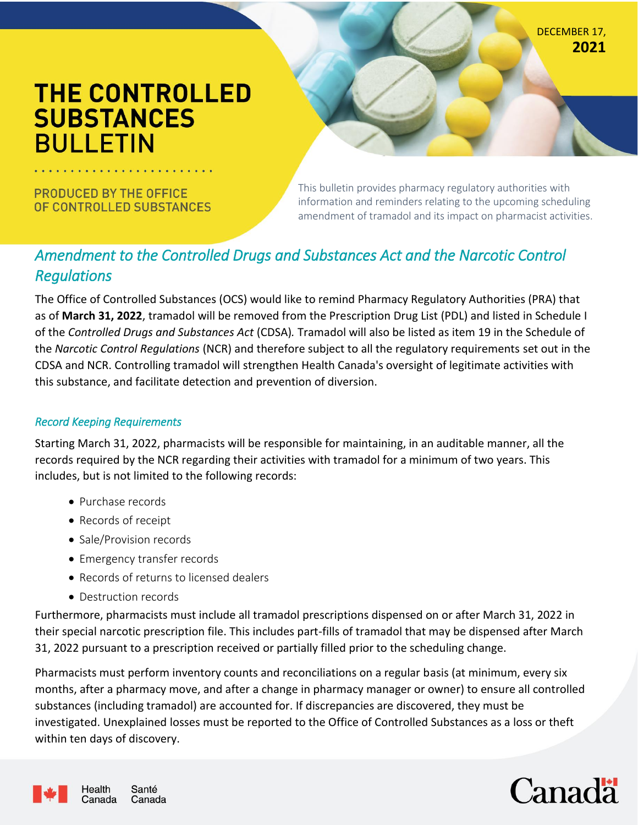DECEMBER 17, **2021**

# **THE CONTROLLED SUBSTANCES BULLETIN**

**PRODUCED BY THE OFFICE** OF CONTROLLED SUBSTANCES This bulletin provides pharmacy regulatory authorities with information and reminders relating to the upcoming scheduling amendment of tramadol and its impact on pharmacist activities.

## *Amendment to the Controlled Drugs and Substances Act and the Narcotic Control Regulations*

The Office of Controlled Substances (OCS) would like to remind Pharmacy Regulatory Authorities (PRA) that as of **March 31, 2022**, tramadol will be removed from the Prescription Drug List (PDL) and listed in Schedule I of the *Controlled Drugs and Substances Act* (CDSA)*.* Tramadol will also be listed as item 19 in the Schedule of the *Narcotic Control Regulations* (NCR) and therefore subject to all the regulatory requirements set out in the CDSA and NCR. Controlling tramadol will strengthen Health Canada's oversight of legitimate activities with this substance, and facilitate detection and prevention of diversion.

#### *Record Keeping Requirements*

Starting March 31, 2022, pharmacists will be responsible for maintaining, in an auditable manner, all the records required by the NCR regarding their activities with tramadol for a minimum of two years. This includes, but is not limited to the following records:

- Purchase records
- Records of receipt
- Sale/Provision records
- Emergency transfer records
- Records of returns to licensed dealers
- Destruction records

Furthermore, pharmacists must include all tramadol prescriptions dispensed on or after March 31, 2022 in their special narcotic prescription file. This includes part-fills of tramadol that may be dispensed after March 31, 2022 pursuant to a prescription received or partially filled prior to the scheduling change.

Pharmacists must perform inventory counts and reconciliations on a regular basis (at minimum, every six months, after a pharmacy move, and after a change in pharmacy manager or owner) to ensure all controlled substances (including tramadol) are accounted for. If discrepancies are discovered, they must be investigated. Unexplained losses must be reported to the Office of Controlled Substances as a loss or theft within ten days of discovery.



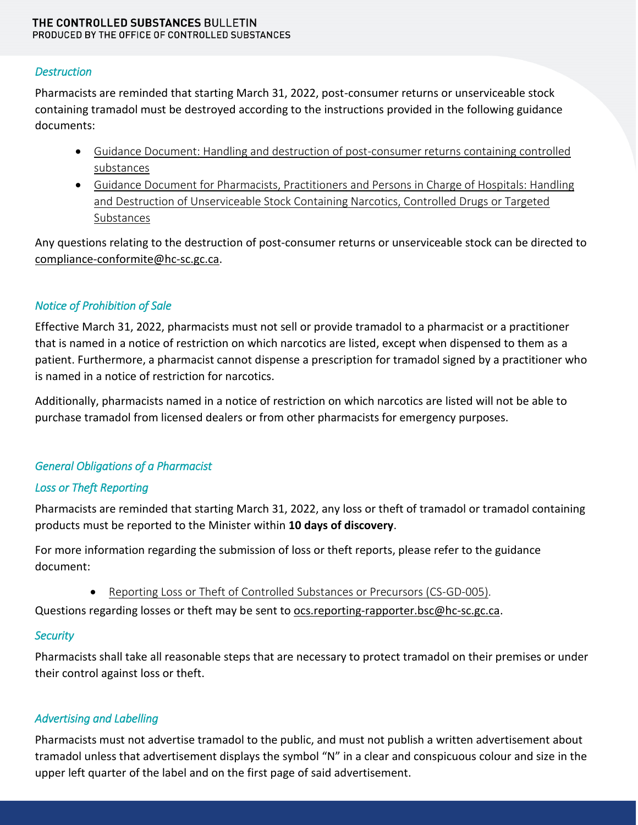#### THE CONTROLLED SUBSTANCES BULLETIN PRODUCED BY THE OFFICE OF CONTROLLED SUBSTANCES

#### *Destruction*

Pharmacists are reminded that starting March 31, 2022, post-consumer returns or unserviceable stock containing tramadol must be destroyed according to the instructions provided in the following guidance documents:

- [Guidance Document: Handling and destruction of post-consumer](https://www.canada.ca/en/health-canada/services/health-concerns/controlled-substances-precursor-chemicals/controlled-substances/compliance-monitoring/compliance-monitoring-controlled-substances/post-consumer-returns.html) returns containing controlled [substances](https://www.canada.ca/en/health-canada/services/health-concerns/controlled-substances-precursor-chemicals/controlled-substances/compliance-monitoring/compliance-monitoring-controlled-substances/post-consumer-returns.html)
- [Guidance Document for Pharmacists, Practitioners and Persons in Charge of Hospitals: Handling](https://www.canada.ca/en/health-canada/services/health-concerns/controlled-substances-precursor-chemicals/controlled-substances/compliance-monitoring/compliance-monitoring-controlled-substances/unserviceable-stock.html)  [and Destruction of Unserviceable Stock Containing Narcotics, Controlled Drugs or Targeted](https://www.canada.ca/en/health-canada/services/health-concerns/controlled-substances-precursor-chemicals/controlled-substances/compliance-monitoring/compliance-monitoring-controlled-substances/unserviceable-stock.html)  [Substances](https://www.canada.ca/en/health-canada/services/health-concerns/controlled-substances-precursor-chemicals/controlled-substances/compliance-monitoring/compliance-monitoring-controlled-substances/unserviceable-stock.html)

Any questions relating to the destruction of post-consumer returns or unserviceable stock can be directed to [compliance-conformite@hc-sc.gc.ca.](mailto:compliance-conformite@hc-sc.gc.ca)

## *Notice of Prohibition of Sale*

Effective March 31, 2022, pharmacists must not sell or provide tramadol to a pharmacist or a practitioner that is named in a notice of restriction on which narcotics are listed, except when dispensed to them as a patient. Furthermore, a pharmacist cannot dispense a prescription for tramadol signed by a practitioner who is named in a notice of restriction for narcotics.

Additionally, pharmacists named in a notice of restriction on which narcotics are listed will not be able to purchase tramadol from licensed dealers or from other pharmacists for emergency purposes.

### *General Obligations of a Pharmacist*

### *Loss or Theft Reporting*

Pharmacists are reminded that starting March 31, 2022, any loss or theft of tramadol or tramadol containing products must be reported to the Minister within **10 days of discovery**.

For more information regarding the submission of loss or theft reports, please refer to the guidance document:

[Reporting Loss or Theft of Controlled Substances or Precursors \(CS-GD-005\).](https://www.canada.ca/en/health-canada/services/publications/healthy-living/loss-theft-controlled-substances-precursors.html)

Questions regarding losses or theft may be sent to **ocs.reporting-rapporter.bsc@hc-sc.gc.ca**.

### *Security*

Pharmacists shall take all reasonable steps that are necessary to protect tramadol on their premises or under their control against loss or theft.

### *Advertising and Labelling*

Pharmacists must not advertise tramadol to the public, and must not publish a written advertisement about tramadol unless that advertisement displays the symbol "N" in a clear and conspicuous colour and size in the upper left quarter of the label and on the first page of said advertisement.